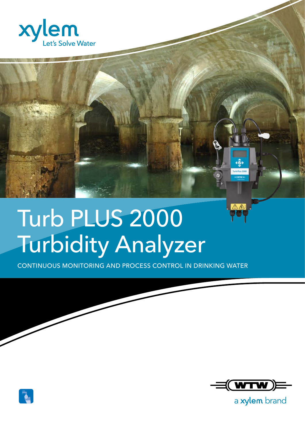

## Turb PLUS 2000 Turbidity Analyzer

CONTINUOUS MONITORING AND PROCESS CONTROL IN DRINKING WATER



a xylem brand

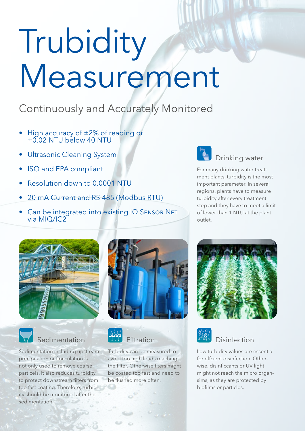# Trubidity Measurement

## Continuously and Accurately Monitored

- High accuracy of ±2% of reading or ±0.02 NTU below 40 NTU
- **Ultrasonic Cleaning System**
- ISO and EPA compliant
- Resolution down to 0.0001 NTU
- 20 mA Current and RS 485 (Modbus RTU)
- Can be integrated into existing IQ SENSOR NET via MIQ/IC2



### Drinking water

For many drinking water treatment plants, turbidity is the most important parameter. In several regions, plants have to measure turbidity after every treatment step and they have to meet a limit of lower than 1 NTU at the plant outlet.





## **Sedimentation**

Sedimentation including upstream precipitation or flocculation is not only used to remove coarse particels. It also reduces turbidity to protect downstream filters from too fast coating. Therefore, turbidity should be monitored after the sedimentation.





Turbidity can be measured to avoid too high loads reaching the filter. Otherwise fiters might be coated too fast and need to be flushed more often.





## Disinfection

Low turbidity values are essential for effcient disinfection. Otherwise, disinficcants or UV light might not reach the micro organsims, as they are protected by biofilms or particles.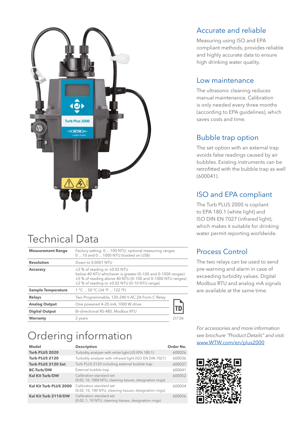

## Technical Data

| <b>Measurement Range</b>  | Factory setting: 0  100 NTU; optional measuring ranges<br>0  10 and 0  1000 NTU (loaded on USB)                                                                                                                               |       |
|---------------------------|-------------------------------------------------------------------------------------------------------------------------------------------------------------------------------------------------------------------------------|-------|
| <b>Resolution</b>         | Down to 0.0001 NTU                                                                                                                                                                                                            |       |
| <b>Accuracy</b>           | $\pm$ 2 % of reading or $\pm$ 0.02 NTU<br>below 40 NTU whichever is greater (0-100 and 0-1000 ranges)<br>±5% of reading above 40 NTU (0-100 and 0-1000 NTU ranges)<br>$\pm$ 2 % of reading or $\pm$ 0.02 NTU (0-10 NTU range) |       |
| <b>Sample Temperature</b> | 1 °C  50 °C (34 °F  122 °F)                                                                                                                                                                                                   |       |
| <b>Relays</b>             | Two Programmable, 120-240 V AC 2A Form C Relay                                                                                                                                                                                |       |
| <b>Analog Output</b>      | One powered 4-20 mA, 1000 W drive                                                                                                                                                                                             |       |
| <b>Digital Output</b>     | Bi-directional RS-485, Modbus RTU                                                                                                                                                                                             |       |
| <b>Warranty</b>           | 2 years                                                                                                                                                                                                                       | D7 06 |

## Ordering information

| <b>Model</b>           | <b>Description</b>                                                                    | Order No. |
|------------------------|---------------------------------------------------------------------------------------|-----------|
| Turb PLUS 2020         | Turbidity analyzer with white light (US EPA 180.1)                                    | 600026    |
| Turb PLUS 2120         | Turbidity analyzer with infrared light (ISO EN DIN 7027)                              | 600036    |
| Turb PLUS 2120 Set     | Turb PLUS 2120 including external bubble trap                                         | 600037    |
| <b>BC-Turb/DW</b>      | External bubble trap                                                                  | 600041    |
| <b>Kal Kit Turb/DW</b> | Calibration standard set<br>(0.02, 10, 1000 NTU, cleaning tissues, designation rings) | 600052    |
| Kal Kit Turb PLUS 2000 | Calibration standard set<br>(0.02, 10, 100 NTU, cleaning tissues, designation rings)  | 600054    |
| Kal Kit Turb 2110/DW   | Calibration standard set<br>(0.02, 1, 10 NTU, cleaning tissues, designation rings)    | 600056    |

#### Accurate and reliable

Measuring using ISO and EPA compliant methods, provides reliable and highly accurate data to ensure high drinking water quality.

#### Low maintenance

The ultrasonic cleaning reduces manual maintenance. Calibration is only needed every three months (according to EPA guidelines), which saves costs and time.

#### Bubble trap option

The set option with an external trap avoids false readings caused by air bubbles. Existing instruments can be retrofitted with the bubble trap as well (600041).

#### ISO and EPA compliant

The Turb PLUS 2000 is copliant to EPA 180.1 (white light) and ISO DIN EN 7027 (infrared light), which makes it suitable for drinking water permit reporting worldwide.

#### Process Control

The two relays can be used to send pre-warning and alarm in case of exceeding turbidity values. Digital Modbus RTU and analog mA signals are available at the same time.

*For accessories and more information see brochure "Product Details" and visit:* www.WTW.com/en/plus2000